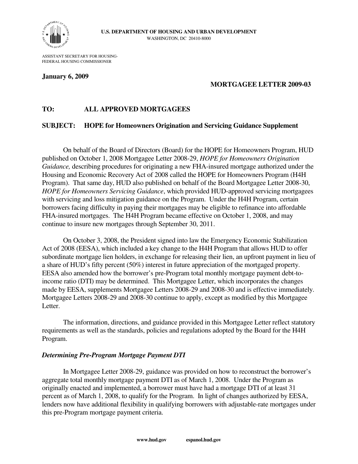

ASSISTANT SECRETARY FOR HOUSING-FEDERAL HOUSING COMMISSIONER

## **January 6, 2009**

# **MORTGAGEE LETTER 2009-03**

# **TO: ALL APPROVED MORTGAGEES**

## **SUBJECT: HOPE for Homeowners Origination and Servicing Guidance Supplement**

On behalf of the Board of Directors (Board) for the HOPE for Homeowners Program, HUD published on October 1, 2008 Mortgagee Letter 2008-29, *HOPE for Homeowners Origination Guidance,* describing procedures for originating a new FHA-insured mortgage authorized under the Housing and Economic Recovery Act of 2008 called the HOPE for Homeowners Program (H4H Program). That same day, HUD also published on behalf of the Board Mortgagee Letter 2008-30, *HOPE for Homeowners Servicing Guidance*, which provided HUD-approved servicing mortgagees with servicing and loss mitigation guidance on the Program. Under the H4H Program, certain borrowers facing difficulty in paying their mortgages may be eligible to refinance into affordable FHA-insured mortgages. The H4H Program became effective on October 1, 2008, and may continue to insure new mortgages through September 30, 2011.

On October 3, 2008, the President signed into law the Emergency Economic Stabilization Act of 2008 (EESA), which included a key change to the H4H Program that allows HUD to offer subordinate mortgage lien holders, in exchange for releasing their lien, an upfront payment in lieu of a share of HUD's fifty percent (50%) interest in future appreciation of the mortgaged property. EESA also amended how the borrower's pre-Program total monthly mortgage payment debt-toincome ratio (DTI) may be determined. This Mortgagee Letter, which incorporates the changes made by EESA, supplements Mortgagee Letters 2008-29 and 2008-30 and is effective immediately. Mortgagee Letters 2008-29 and 2008-30 continue to apply, except as modified by this Mortgagee Letter.

The information, directions, and guidance provided in this Mortgagee Letter reflect statutory requirements as well as the standards, policies and regulations adopted by the Board for the H4H Program.

## *Determining Pre-Program Mortgage Payment DTI*

In Mortgagee Letter 2008-29, guidance was provided on how to reconstruct the borrower's aggregate total monthly mortgage payment DTI as of March 1, 2008. Under the Program as originally enacted and implemented, a borrower must have had a mortgage DTI of at least 31 percent as of March 1, 2008, to qualify for the Program. In light of changes authorized by EESA, lenders now have additional flexibility in qualifying borrowers with adjustable-rate mortgages under this pre-Program mortgage payment criteria.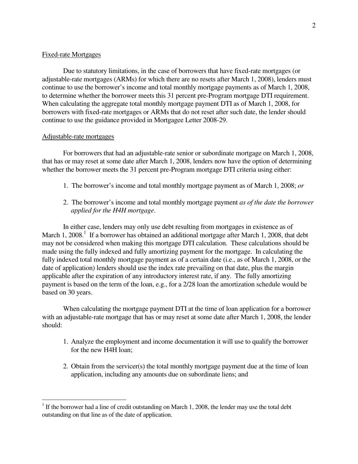### Fixed-rate Mortgages

Due to statutory limitations, in the case of borrowers that have fixed-rate mortgages (or adjustable-rate mortgages (ARMs) for which there are no resets after March 1, 2008), lenders must continue to use the borrower's income and total monthly mortgage payments as of March 1, 2008, to determine whether the borrower meets this 31 percent pre-Program mortgage DTI requirement. When calculating the aggregate total monthly mortgage payment DTI as of March 1, 2008, for borrowers with fixed-rate mortgages or ARMs that do not reset after such date, the lender should continue to use the guidance provided in Mortgagee Letter 2008-29.

#### Adjustable-rate mortgages

 $\overline{a}$ 

For borrowers that had an adjustable-rate senior or subordinate mortgage on March 1, 2008, that has or may reset at some date after March 1, 2008, lenders now have the option of determining whether the borrower meets the 31 percent pre-Program mortgage DTI criteria using either:

- 1. The borrower's income and total monthly mortgage payment as of March 1, 2008; *or*
- 2. The borrower's income and total monthly mortgage payment *as of the date the borrower applied for the H4H mortgage*.

 In either case, lenders may only use debt resulting from mortgages in existence as of March 1, 2008.<sup>1</sup> If a borrower has obtained an additional mortgage after March 1, 2008, that debt may not be considered when making this mortgage DTI calculation. These calculations should be made using the fully indexed and fully amortizing payment for the mortgage. In calculating the fully indexed total monthly mortgage payment as of a certain date (i.e., as of March 1, 2008, or the date of application) lenders should use the index rate prevailing on that date, plus the margin applicable after the expiration of any introductory interest rate, if any. The fully amortizing payment is based on the term of the loan, e.g., for a 2/28 loan the amortization schedule would be based on 30 years.

 When calculating the mortgage payment DTI at the time of loan application for a borrower with an adjustable-rate mortgage that has or may reset at some date after March 1, 2008, the lender should:

- 1. Analyze the employment and income documentation it will use to qualify the borrower for the new H4H loan;
- 2. Obtain from the servicer(s) the total monthly mortgage payment due at the time of loan application, including any amounts due on subordinate liens; and

 $1$  If the borrower had a line of credit outstanding on March 1, 2008, the lender may use the total debt outstanding on that line as of the date of application.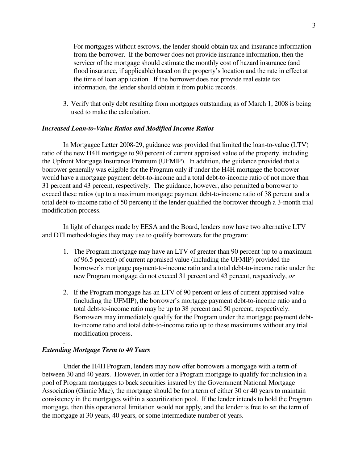For mortgages without escrows, the lender should obtain tax and insurance information from the borrower. If the borrower does not provide insurance information, then the servicer of the mortgage should estimate the monthly cost of hazard insurance (and flood insurance, if applicable) based on the property's location and the rate in effect at the time of loan application. If the borrower does not provide real estate tax information, the lender should obtain it from public records.

3. Verify that only debt resulting from mortgages outstanding as of March 1, 2008 is being used to make the calculation.

#### *Increased Loan-to-Value Ratios and Modified Income Ratios*

In Mortgagee Letter 2008-29, guidance was provided that limited the loan-to-value (LTV) ratio of the new H4H mortgage to 90 percent of current appraised value of the property, including the Upfront Mortgage Insurance Premium (UFMIP). In addition, the guidance provided that a borrower generally was eligible for the Program only if under the H4H mortgage the borrower would have a mortgage payment debt-to-income and a total debt-to-income ratio of not more than 31 percent and 43 percent, respectively. The guidance, however, also permitted a borrower to exceed these ratios (up to a maximum mortgage payment debt-to-income ratio of 38 percent and a total debt-to-income ratio of 50 percent) if the lender qualified the borrower through a 3-month trial modification process.

In light of changes made by EESA and the Board, lenders now have two alternative LTV and DTI methodologies they may use to qualify borrowers for the program:

- 1. The Program mortgage may have an LTV of greater than 90 percent (up to a maximum of 96.5 percent) of current appraised value (including the UFMIP) provided the borrower's mortgage payment-to-income ratio and a total debt-to-income ratio under the new Program mortgage do not exceed 31 percent and 43 percent, respectively, *or*
- 2. If the Program mortgage has an LTV of 90 percent or less of current appraised value (including the UFMIP), the borrower's mortgage payment debt-to-income ratio and a total debt-to-income ratio may be up to 38 percent and 50 percent, respectively. Borrowers may immediately qualify for the Program under the mortgage payment debtto-income ratio and total debt-to-income ratio up to these maximums without any trial modification process.

#### *Extending Mortgage Term to 40 Years*

.

 Under the H4H Program, lenders may now offer borrowers a mortgage with a term of between 30 and 40 years. However, in order for a Program mortgage to qualify for inclusion in a pool of Program mortgages to back securities insured by the Government National Mortgage Association (Ginnie Mae), the mortgage should be for a term of either 30 or 40 years to maintain consistency in the mortgages within a securitization pool. If the lender intends to hold the Program mortgage, then this operational limitation would not apply, and the lender is free to set the term of the mortgage at 30 years, 40 years, or some intermediate number of years.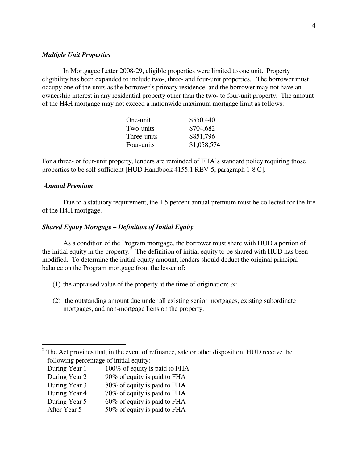#### *Multiple Unit Properties*

In Mortgagee Letter 2008-29, eligible properties were limited to one unit. Property eligibility has been expanded to include two-, three- and four-unit properties. The borrower must occupy one of the units as the borrower's primary residence, and the borrower may not have an ownership interest in any residential property other than the two- to four-unit property. The amount of the H4H mortgage may not exceed a nationwide maximum mortgage limit as follows:

| One-unit    | \$550,440   |
|-------------|-------------|
| Two-units   | \$704,682   |
| Three-units | \$851,796   |
| Four-units  | \$1,058,574 |

For a three- or four-unit property, lenders are reminded of FHA's standard policy requiring those properties to be self-sufficient [HUD Handbook 4155.1 REV-5, paragraph 1-8 C].

#### *Annual Premium*

 $\overline{a}$ 

 Due to a statutory requirement, the 1.5 percent annual premium must be collected for the life of the H4H mortgage.

### *Shared Equity Mortgage – Definition of Initial Equity*

As a condition of the Program mortgage, the borrower must share with HUD a portion of the initial equity in the property.<sup>2</sup> The definition of initial equity to be shared with HUD has been modified. To determine the initial equity amount, lenders should deduct the original principal balance on the Program mortgage from the lesser of:

- (1) the appraised value of the property at the time of origination; *or*
- (2) the outstanding amount due under all existing senior mortgages, existing subordinate mortgages, and non-mortgage liens on the property.

- During Year 1 100% of equity is paid to FHA
- During Year 2 90% of equity is paid to FHA
- During Year 3 80% of equity is paid to FHA
- During Year 4 70% of equity is paid to FHA
- During Year 5 60% of equity is paid to FHA
- After Year 5 50% of equity is paid to FHA

<sup>2</sup> The Act provides that, in the event of refinance, sale or other disposition, HUD receive the following percentage of initial equity: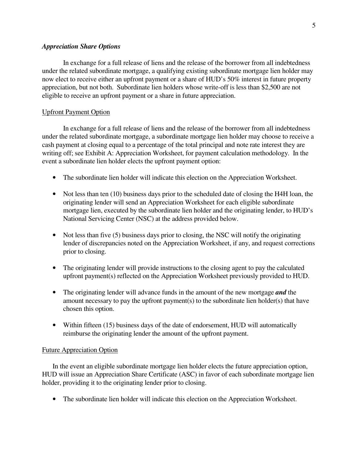#### *Appreciation Share Options*

In exchange for a full release of liens and the release of the borrower from all indebtedness under the related subordinate mortgage, a qualifying existing subordinate mortgage lien holder may now elect to receive either an upfront payment or a share of HUD's 50% interest in future property appreciation, but not both. Subordinate lien holders whose write-off is less than \$2,500 are not eligible to receive an upfront payment or a share in future appreciation.

#### Upfront Payment Option

In exchange for a full release of liens and the release of the borrower from all indebtedness under the related subordinate mortgage, a subordinate mortgage lien holder may choose to receive a cash payment at closing equal to a percentage of the total principal and note rate interest they are writing off; see Exhibit A: Appreciation Worksheet, for payment calculation methodology. In the event a subordinate lien holder elects the upfront payment option:

- The subordinate lien holder will indicate this election on the Appreciation Worksheet.
- Not less than ten (10) business days prior to the scheduled date of closing the H4H loan, the originating lender will send an Appreciation Worksheet for each eligible subordinate mortgage lien, executed by the subordinate lien holder and the originating lender, to HUD's National Servicing Center (NSC) at the address provided below.
- Not less than five (5) business days prior to closing, the NSC will notify the originating lender of discrepancies noted on the Appreciation Worksheet, if any, and request corrections prior to closing.
- The originating lender will provide instructions to the closing agent to pay the calculated upfront payment(s) reflected on the Appreciation Worksheet previously provided to HUD.
- The originating lender will advance funds in the amount of the new mortgage **and** the amount necessary to pay the upfront payment(s) to the subordinate lien holder(s) that have chosen this option.
- Within fifteen (15) business days of the date of endorsement, HUD will automatically reimburse the originating lender the amount of the upfront payment.

#### Future Appreciation Option

In the event an eligible subordinate mortgage lien holder elects the future appreciation option, HUD will issue an Appreciation Share Certificate (ASC) in favor of each subordinate mortgage lien holder, providing it to the originating lender prior to closing.

• The subordinate lien holder will indicate this election on the Appreciation Worksheet.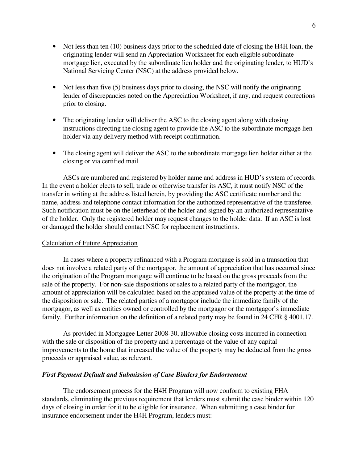- Not less than ten (10) business days prior to the scheduled date of closing the H4H loan, the originating lender will send an Appreciation Worksheet for each eligible subordinate mortgage lien, executed by the subordinate lien holder and the originating lender, to HUD's National Servicing Center (NSC) at the address provided below.
- Not less than five (5) business days prior to closing, the NSC will notify the originating lender of discrepancies noted on the Appreciation Worksheet, if any, and request corrections prior to closing.
- The originating lender will deliver the ASC to the closing agent along with closing instructions directing the closing agent to provide the ASC to the subordinate mortgage lien holder via any delivery method with receipt confirmation.
- The closing agent will deliver the ASC to the subordinate mortgage lien holder either at the closing or via certified mail.

ASCs are numbered and registered by holder name and address in HUD's system of records. In the event a holder elects to sell, trade or otherwise transfer its ASC, it must notify NSC of the transfer in writing at the address listed herein, by providing the ASC certificate number and the name, address and telephone contact information for the authorized representative of the transferee. Such notification must be on the letterhead of the holder and signed by an authorized representative of the holder. Only the registered holder may request changes to the holder data. If an ASC is lost or damaged the holder should contact NSC for replacement instructions.

### Calculation of Future Appreciation

 In cases where a property refinanced with a Program mortgage is sold in a transaction that does not involve a related party of the mortgagor, the amount of appreciation that has occurred since the origination of the Program mortgage will continue to be based on the gross proceeds from the sale of the property. For non-sale dispositions or sales to a related party of the mortgagor, the amount of appreciation will be calculated based on the appraised value of the property at the time of the disposition or sale. The related parties of a mortgagor include the immediate family of the mortgagor, as well as entities owned or controlled by the mortgagor or the mortgagor's immediate family. Further information on the definition of a related party may be found in 24 CFR § 4001.17.

 As provided in Mortgagee Letter 2008-30, allowable closing costs incurred in connection with the sale or disposition of the property and a percentage of the value of any capital improvements to the home that increased the value of the property may be deducted from the gross proceeds or appraised value, as relevant.

#### *First Payment Default and Submission of Case Binders for Endorsement*

The endorsement process for the H4H Program will now conform to existing FHA standards, eliminating the previous requirement that lenders must submit the case binder within 120 days of closing in order for it to be eligible for insurance. When submitting a case binder for insurance endorsement under the H4H Program, lenders must: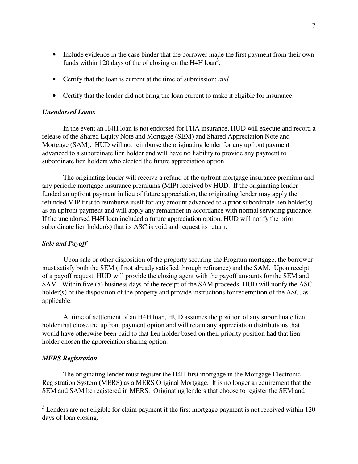- Include evidence in the case binder that the borrower made the first payment from their own funds within 120 days of the of closing on the H4H loan<sup>3</sup>;
- Certify that the loan is current at the time of submission; *and*
- Certify that the lender did not bring the loan current to make it eligible for insurance.

#### *Unendorsed Loans*

In the event an H4H loan is not endorsed for FHA insurance, HUD will execute and record a release of the Shared Equity Note and Mortgage (SEM) and Shared Appreciation Note and Mortgage (SAM). HUD will not reimburse the originating lender for any upfront payment advanced to a subordinate lien holder and will have no liability to provide any payment to subordinate lien holders who elected the future appreciation option.

The originating lender will receive a refund of the upfront mortgage insurance premium and any periodic mortgage insurance premiums (MIP) received by HUD. If the originating lender funded an upfront payment in lieu of future appreciation, the originating lender may apply the refunded MIP first to reimburse itself for any amount advanced to a prior subordinate lien holder(s) as an upfront payment and will apply any remainder in accordance with normal servicing guidance. If the unendorsed H4H loan included a future appreciation option, HUD will notify the prior subordinate lien holder(s) that its ASC is void and request its return.

### *Sale and Payoff*

Upon sale or other disposition of the property securing the Program mortgage, the borrower must satisfy both the SEM (if not already satisfied through refinance) and the SAM. Upon receipt of a payoff request, HUD will provide the closing agent with the payoff amounts for the SEM and SAM. Within five (5) business days of the receipt of the SAM proceeds, HUD will notify the ASC holder(s) of the disposition of the property and provide instructions for redemption of the ASC, as applicable.

At time of settlement of an H4H loan, HUD assumes the position of any subordinate lien holder that chose the upfront payment option and will retain any appreciation distributions that would have otherwise been paid to that lien holder based on their priority position had that lien holder chosen the appreciation sharing option.

### *MERS Registration*

 $\overline{a}$ 

The originating lender must register the H4H first mortgage in the Mortgage Electronic Registration System (MERS) as a MERS Original Mortgage. It is no longer a requirement that the SEM and SAM be registered in MERS. Originating lenders that choose to register the SEM and

 $3$  Lenders are not eligible for claim payment if the first mortgage payment is not received within 120 days of loan closing.